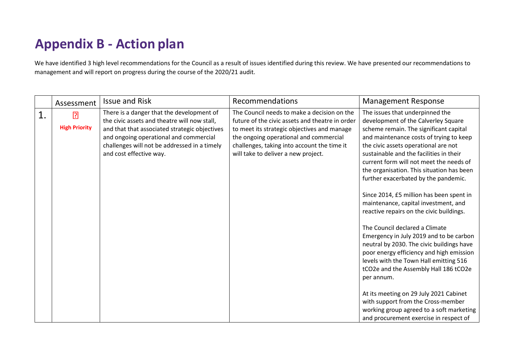## **Appendix B - Action plan**

We have identified 3 high level recommendations for the Council as a result of issues identified during this review. We have presented our recommendations to management and will report on progress during the course of the 2020/21 audit.

|    | Assessment                             | <b>Issue and Risk</b>                                                                                                                                                                                                                                           | Recommendations                                                                                                                                                                                                                                                               | <b>Management Response</b>                                                                                                                                                                                                                                                                                                                                                                                                                                                                                                                                                                                                                                                                                                                                                            |
|----|----------------------------------------|-----------------------------------------------------------------------------------------------------------------------------------------------------------------------------------------------------------------------------------------------------------------|-------------------------------------------------------------------------------------------------------------------------------------------------------------------------------------------------------------------------------------------------------------------------------|---------------------------------------------------------------------------------------------------------------------------------------------------------------------------------------------------------------------------------------------------------------------------------------------------------------------------------------------------------------------------------------------------------------------------------------------------------------------------------------------------------------------------------------------------------------------------------------------------------------------------------------------------------------------------------------------------------------------------------------------------------------------------------------|
| 1. | $\overline{P}$<br><b>High Priority</b> | There is a danger that the development of<br>the civic assets and theatre will now stall,<br>and that that associated strategic objectives<br>and ongoing operational and commercial<br>challenges will not be addressed in a timely<br>and cost effective way. | The Council needs to make a decision on the<br>future of the civic assets and theatre in order<br>to meet its strategic objectives and manage<br>the ongoing operational and commercial<br>challenges, taking into account the time it<br>will take to deliver a new project. | The issues that underpinned the<br>development of the Calverley Square<br>scheme remain. The significant capital<br>and maintenance costs of trying to keep<br>the civic assets operational are not<br>sustainable and the facilities in their<br>current form will not meet the needs of<br>the organisation. This situation has been<br>further exacerbated by the pandemic.<br>Since 2014, £5 million has been spent in<br>maintenance, capital investment, and<br>reactive repairs on the civic buildings.<br>The Council declared a Climate<br>Emergency in July 2019 and to be carbon<br>neutral by 2030. The civic buildings have<br>poor energy efficiency and high emission<br>levels with the Town Hall emitting 516<br>tCO2e and the Assembly Hall 186 tCO2e<br>per annum. |
|    |                                        |                                                                                                                                                                                                                                                                 |                                                                                                                                                                                                                                                                               | At its meeting on 29 July 2021 Cabinet<br>with support from the Cross-member<br>working group agreed to a soft marketing<br>and procurement exercise in respect of                                                                                                                                                                                                                                                                                                                                                                                                                                                                                                                                                                                                                    |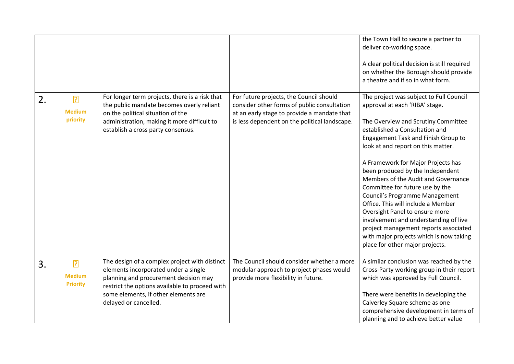|    |                                                    |                                                                                                                                                                                                                                                   |                                                                                                                                                                                        | the Town Hall to secure a partner to<br>deliver co-working space.<br>A clear political decision is still required<br>on whether the Borough should provide<br>a theatre and if so in what form.                                                                                                                                                                                                                                                                                                                                                                                                                                                               |
|----|----------------------------------------------------|---------------------------------------------------------------------------------------------------------------------------------------------------------------------------------------------------------------------------------------------------|----------------------------------------------------------------------------------------------------------------------------------------------------------------------------------------|---------------------------------------------------------------------------------------------------------------------------------------------------------------------------------------------------------------------------------------------------------------------------------------------------------------------------------------------------------------------------------------------------------------------------------------------------------------------------------------------------------------------------------------------------------------------------------------------------------------------------------------------------------------|
| 2. | $\overline{R}$<br><b>Medium</b><br>priority        | For longer term projects, there is a risk that<br>the public mandate becomes overly reliant<br>on the political situation of the<br>administration, making it more difficult to<br>establish a cross party consensus.                             | For future projects, the Council should<br>consider other forms of public consultation<br>at an early stage to provide a mandate that<br>is less dependent on the political landscape. | The project was subject to Full Council<br>approval at each 'RIBA' stage.<br>The Overview and Scrutiny Committee<br>established a Consultation and<br>Engagement Task and Finish Group to<br>look at and report on this matter.<br>A Framework for Major Projects has<br>been produced by the Independent<br>Members of the Audit and Governance<br>Committee for future use by the<br>Council's Programme Management<br>Office. This will include a Member<br>Oversight Panel to ensure more<br>involvement and understanding of live<br>project management reports associated<br>with major projects which is now taking<br>place for other major projects. |
| 3. | $\overline{R}$<br><b>Medium</b><br><b>Priority</b> | The design of a complex project with distinct<br>elements incorporated under a single<br>planning and procurement decision may<br>restrict the options available to proceed with<br>some elements, if other elements are<br>delayed or cancelled. | The Council should consider whether a more<br>modular approach to project phases would<br>provide more flexibility in future.                                                          | A similar conclusion was reached by the<br>Cross-Party working group in their report<br>which was approved by Full Council.<br>There were benefits in developing the<br>Calverley Square scheme as one<br>comprehensive development in terms of<br>planning and to achieve better value                                                                                                                                                                                                                                                                                                                                                                       |